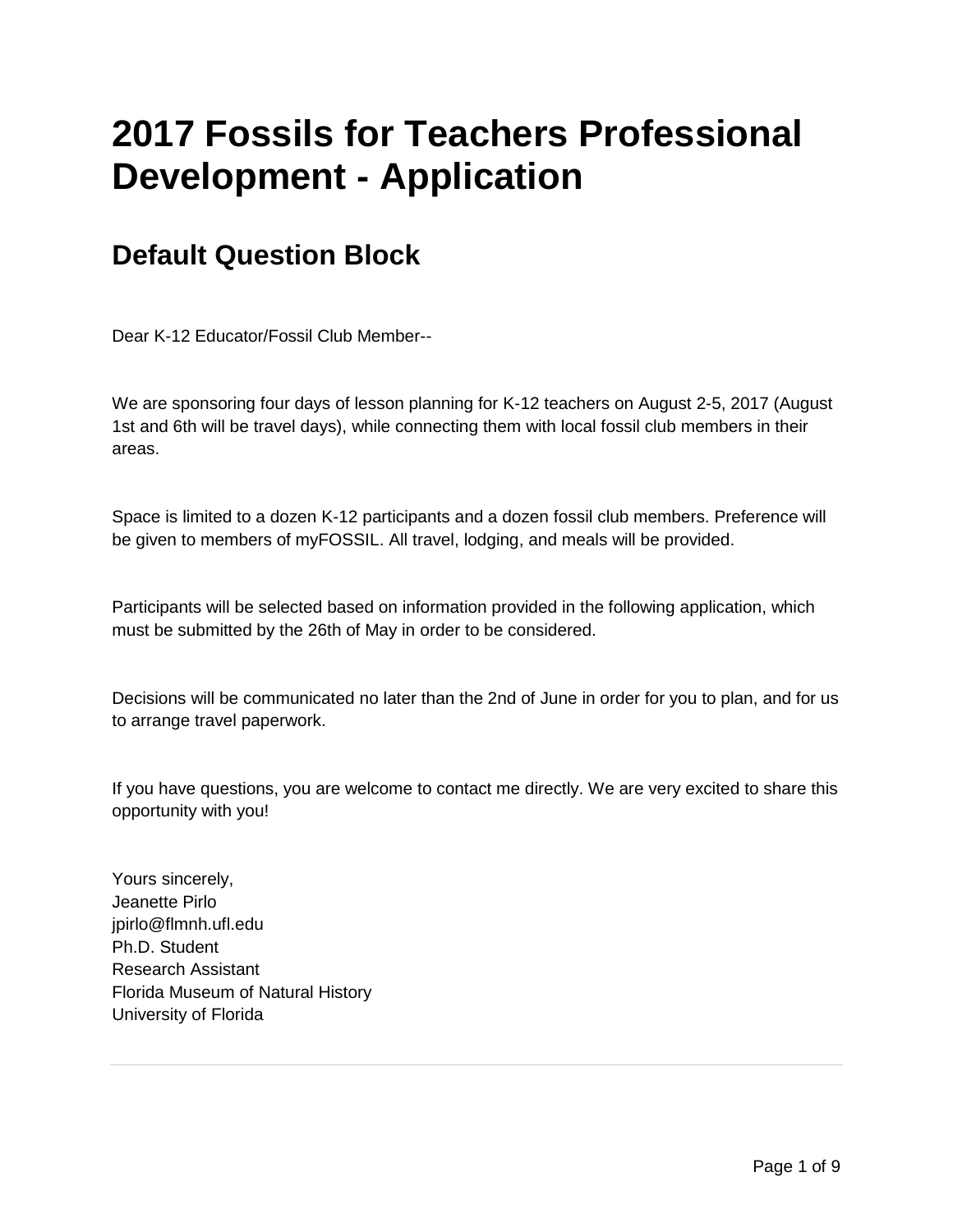## **2017 Fossils for Teachers Professional Development - Application**

## **Default Question Block**

Dear K-12 Educator/Fossil Club Member--

We are sponsoring four days of lesson planning for K-12 teachers on August 2-5, 2017 (August 1st and 6th will be travel days), while connecting them with local fossil club members in their areas.

Space is limited to a dozen K-12 participants and a dozen fossil club members. Preference will be given to members of myFOSSIL. All travel, lodging, and meals will be provided.

Participants will be selected based on information provided in the following application, which must be submitted by the 26th of May in order to be considered.

Decisions will be communicated no later than the 2nd of June in order for you to plan, and for us to arrange travel paperwork.

If you have questions, you are welcome to contact me directly. We are very excited to share this opportunity with you!

Yours sincerely, Jeanette Pirlo jpirlo@flmnh.ufl.edu Ph.D. Student Research Assistant Florida Museum of Natural History University of Florida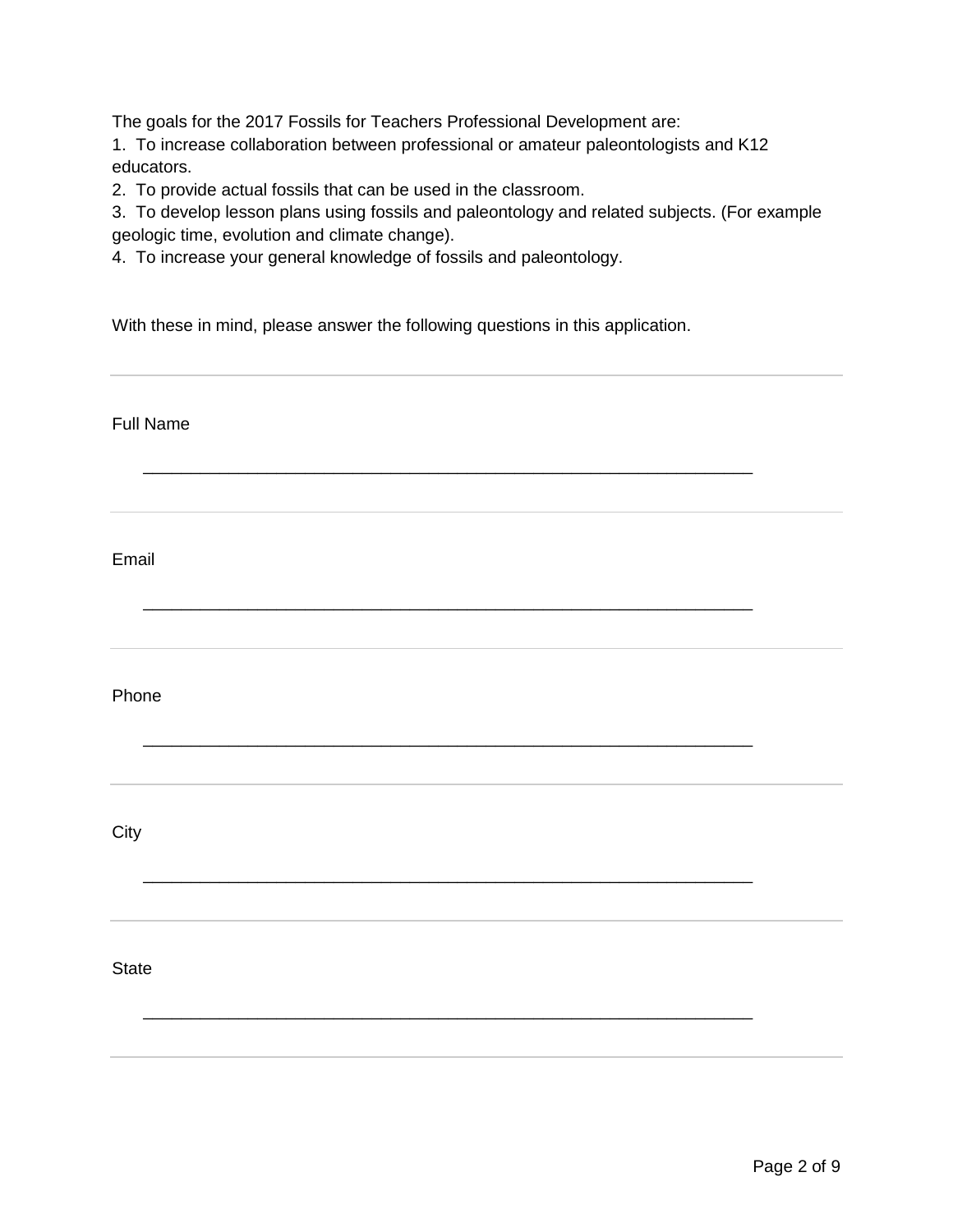The goals for the 2017 Fossils for Teachers Professional Development are:

1. To increase collaboration between professional or amateur paleontologists and K12 educators.

2. To provide actual fossils that can be used in the classroom.

3. To develop lesson plans using fossils and paleontology and related subjects. (For example geologic time, evolution and climate change).

4. To increase your general knowledge of fossils and paleontology.

With these in mind, please answer the following questions in this application.

| <b>Full Name</b> |  |
|------------------|--|
|                  |  |
| Email            |  |
| Phone            |  |
| City             |  |
| State            |  |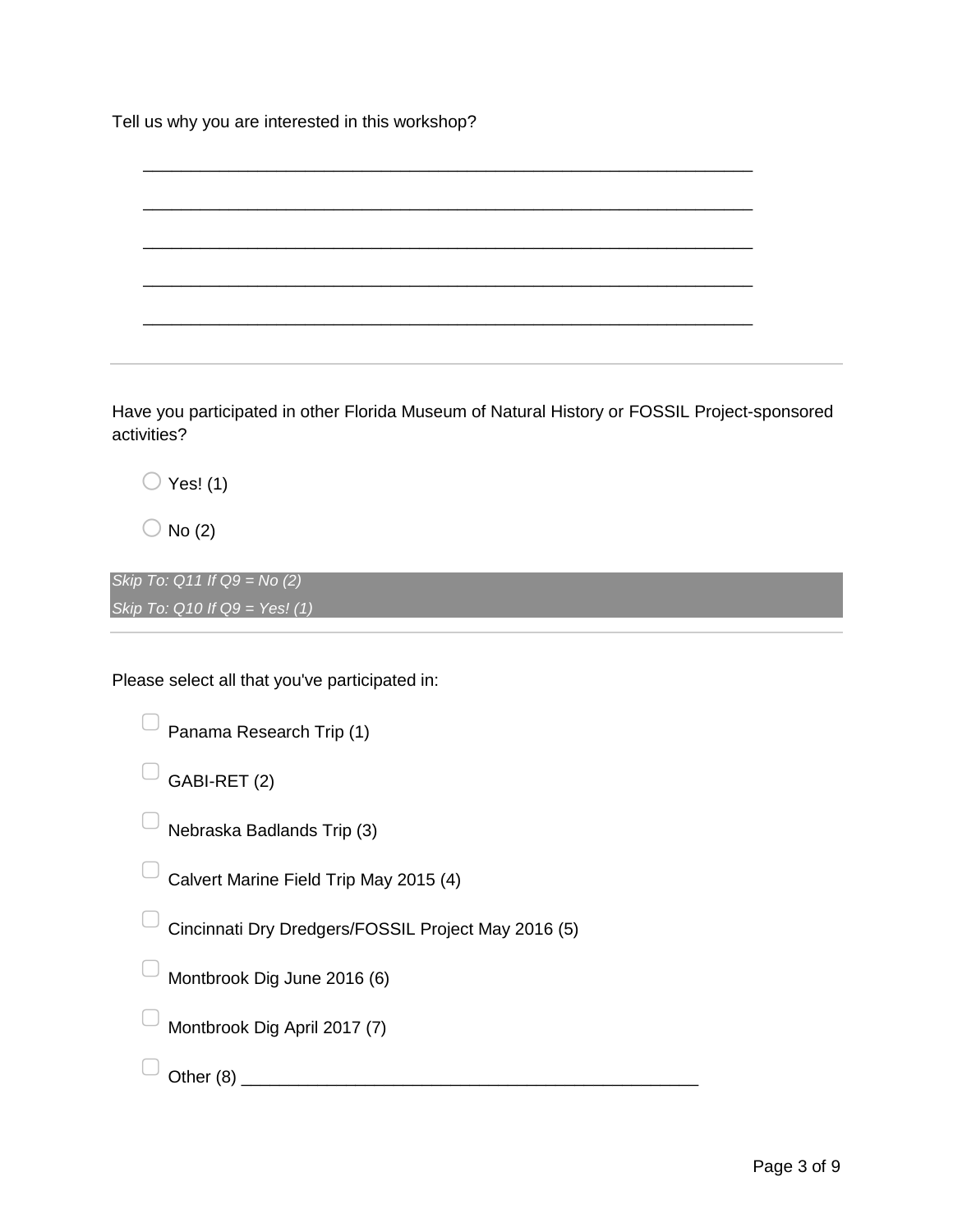Tell us why you are interested in this workshop?



Have you participated in other Florida Museum of Natural History or FOSSIL Project-sponsored activities?

 $\bigcirc$  Yes! (1)

 $\bigcirc$  No (2)

*Skip To: Q11 If Q9 = No (2) Skip To: Q10 If Q9 = Yes! (1)*

Please select all that you've participated in:

 $\Box$  Panama Research Trip (1)

 $\Box$  GABI-RET (2)

 $\Box$  Nebraska Badlands Trip (3)

 $\Box$  Calvert Marine Field Trip May 2015 (4)

Cincinnati Dry Dredgers/FOSSIL Project May 2016 (5)

 $\Box$  Montbrook Dig June 2016 (6)

▢ Montbrook Dig April 2017 (7)

 $\Box$  Other (8)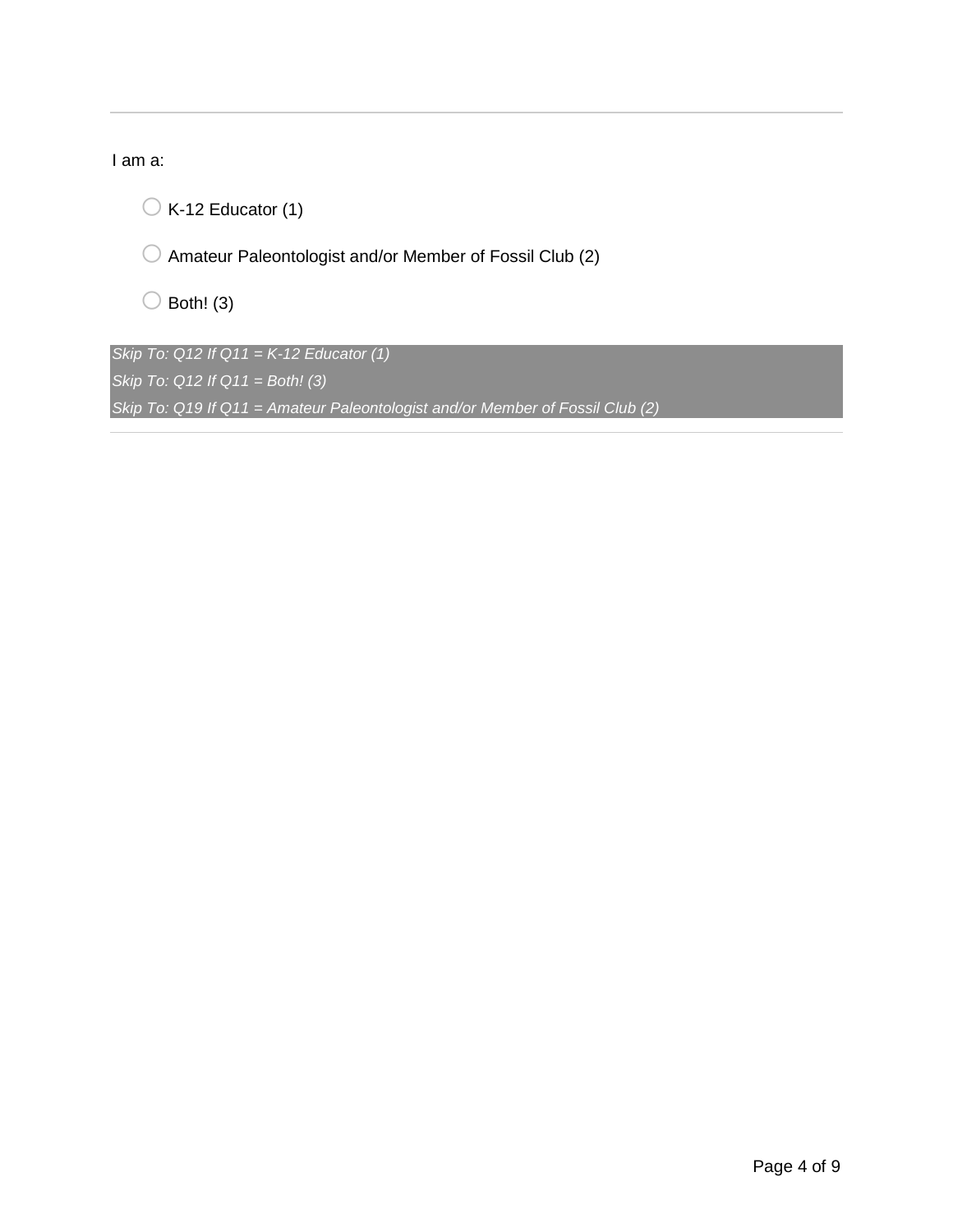I am a:

 $\bigcirc$  K-12 Educator (1)

 $\bigcirc$  Amateur Paleontologist and/or Member of Fossil Club (2)

 $\bigcirc$  Both! (3)

*Skip To: Q12 If Q11 = K-12 Educator (1) Skip To: Q12 If Q11 = Both! (3) Skip To: Q19 If Q11 = Amateur Paleontologist and/or Member of Fossil Club (2)*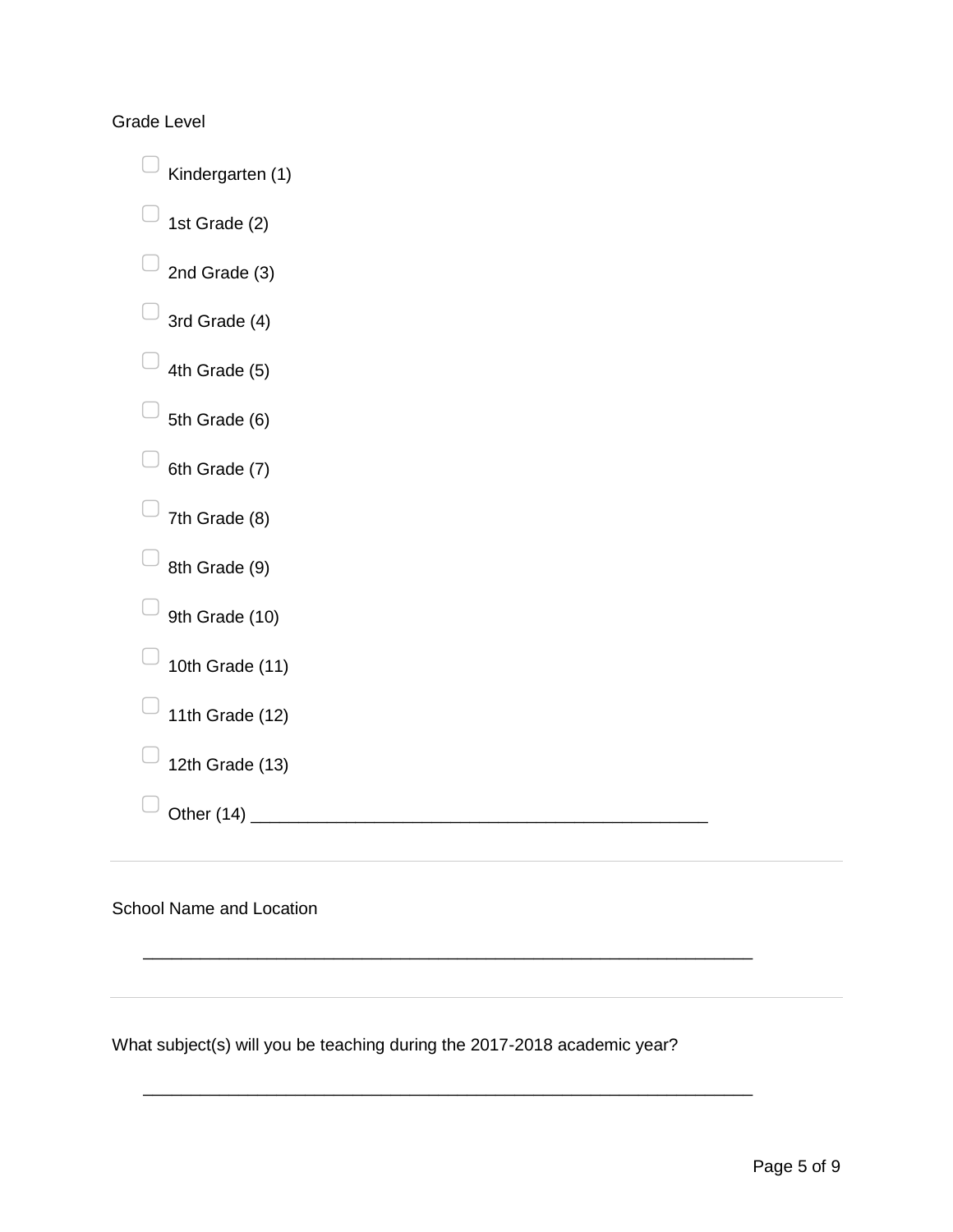Grade Level

 $\Box$  Kindergarten (1)  $\Box$  1st Grade (2)  $\Box$  2nd Grade (3)  $\Box$  3rd Grade (4)  $\Box$  4th Grade (5)  $\Box$  5th Grade (6)  $\Box$  6th Grade (7)  $\Box$  7th Grade (8)  $\Box$  8th Grade (9)  $\Box$  9th Grade (10)  $\Box$  10th Grade (11)  $\Box$  11th Grade (12)  $\Box$  12th Grade (13) ▢ Other (14) \_\_\_\_\_\_\_\_\_\_\_\_\_\_\_\_\_\_\_\_\_\_\_\_\_\_\_\_\_\_\_\_\_\_\_\_\_\_\_\_\_\_\_\_\_\_\_\_

School Name and Location

What subject(s) will you be teaching during the 2017-2018 academic year?

\_\_\_\_\_\_\_\_\_\_\_\_\_\_\_\_\_\_\_\_\_\_\_\_\_\_\_\_\_\_\_\_\_\_\_\_\_\_\_\_\_\_\_\_\_\_\_\_\_\_\_\_\_\_\_\_\_\_\_\_\_\_\_\_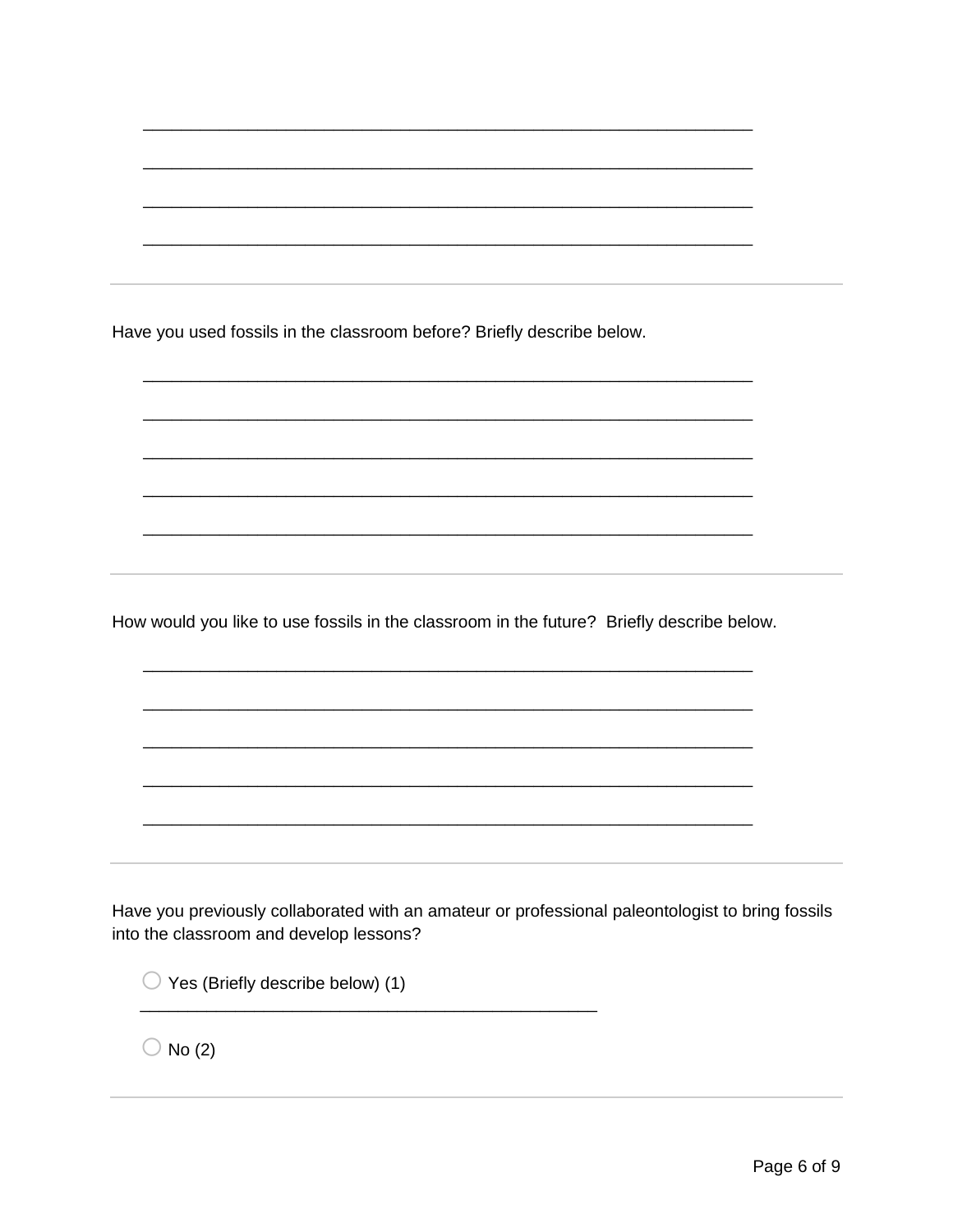Have you used fossils in the classroom before? Briefly describe below.

How would you like to use fossils in the classroom in the future? Briefly describe below.

Have you previously collaborated with an amateur or professional paleontologist to bring fossils into the classroom and develop lessons?

 $\bigcirc$  Yes (Briefly describe below) (1)

 $\bigcirc$  No (2)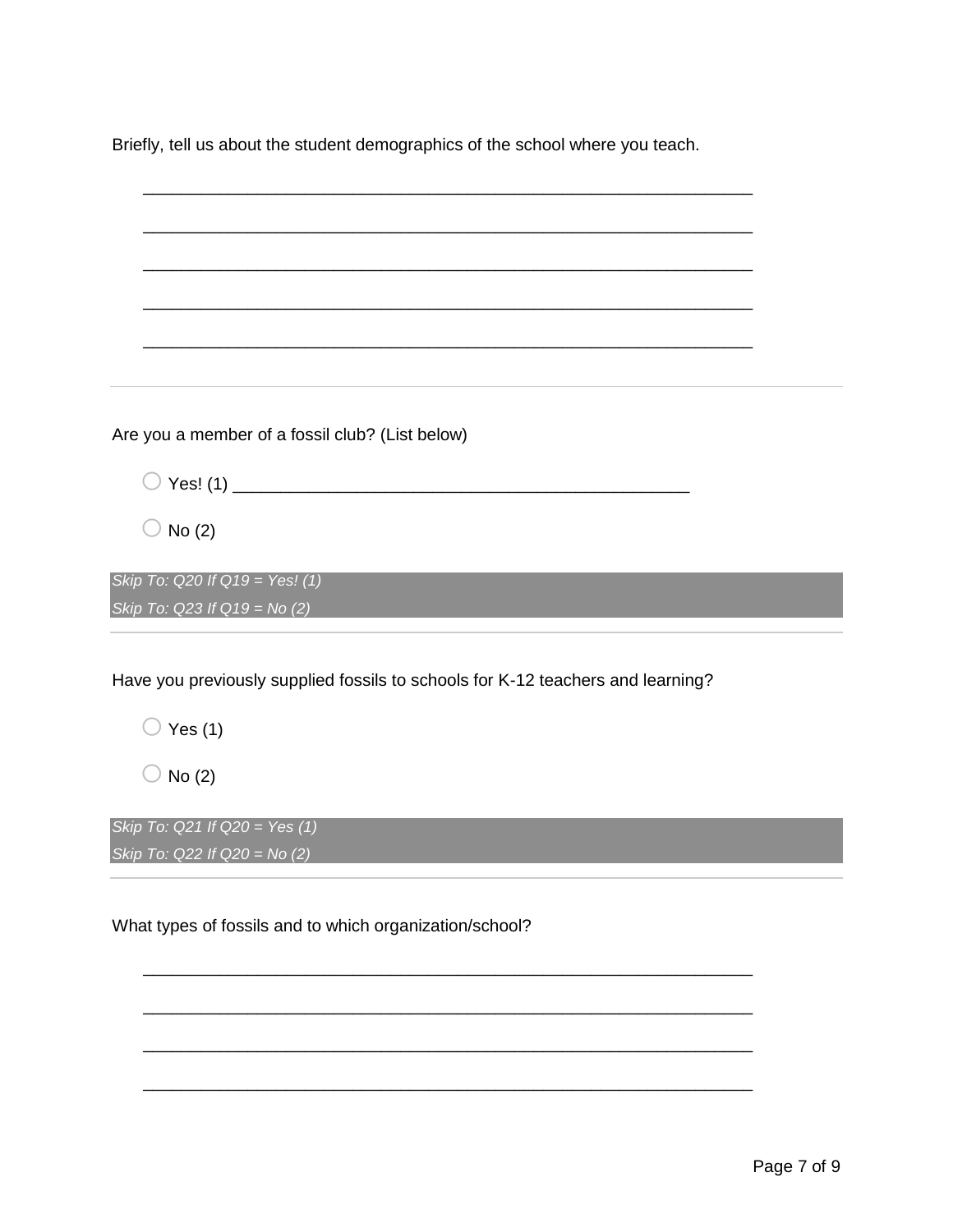Briefly, tell us about the student demographics of the school where you teach.

| Are you a member of a fossil club? (List below)                                 |  |
|---------------------------------------------------------------------------------|--|
|                                                                                 |  |
| No(2)                                                                           |  |
| Skip To: Q20 If Q19 = Yes! (1)                                                  |  |
| Skip To: Q23 If $Q19 = No (2)$                                                  |  |
|                                                                                 |  |
| Have you previously supplied fossils to schools for K-12 teachers and learning? |  |
| $\sqrt{$ Yes (1)                                                                |  |
| No(2)                                                                           |  |
| Skip To: Q21 If Q20 = Yes (1)<br>Skip To: $Q22$ If $Q20 = No(2)$                |  |
|                                                                                 |  |

\_\_\_\_\_\_\_\_\_\_\_\_\_\_\_\_\_\_\_\_\_\_\_\_\_\_\_\_\_\_\_\_\_\_\_\_\_\_\_\_\_\_\_\_\_\_\_\_\_\_\_\_\_\_\_\_\_\_\_\_\_\_\_\_

\_\_\_\_\_\_\_\_\_\_\_\_\_\_\_\_\_\_\_\_\_\_\_\_\_\_\_\_\_\_\_\_\_\_\_\_\_\_\_\_\_\_\_\_\_\_\_\_\_\_\_\_\_\_\_\_\_\_\_\_\_\_\_\_

\_\_\_\_\_\_\_\_\_\_\_\_\_\_\_\_\_\_\_\_\_\_\_\_\_\_\_\_\_\_\_\_\_\_\_\_\_\_\_\_\_\_\_\_\_\_\_\_\_\_\_\_\_\_\_\_\_\_\_\_\_\_\_\_

\_\_\_\_\_\_\_\_\_\_\_\_\_\_\_\_\_\_\_\_\_\_\_\_\_\_\_\_\_\_\_\_\_\_\_\_\_\_\_\_\_\_\_\_\_\_\_\_\_\_\_\_\_\_\_\_\_\_\_\_\_\_\_\_

What types of fossils and to which organization/school?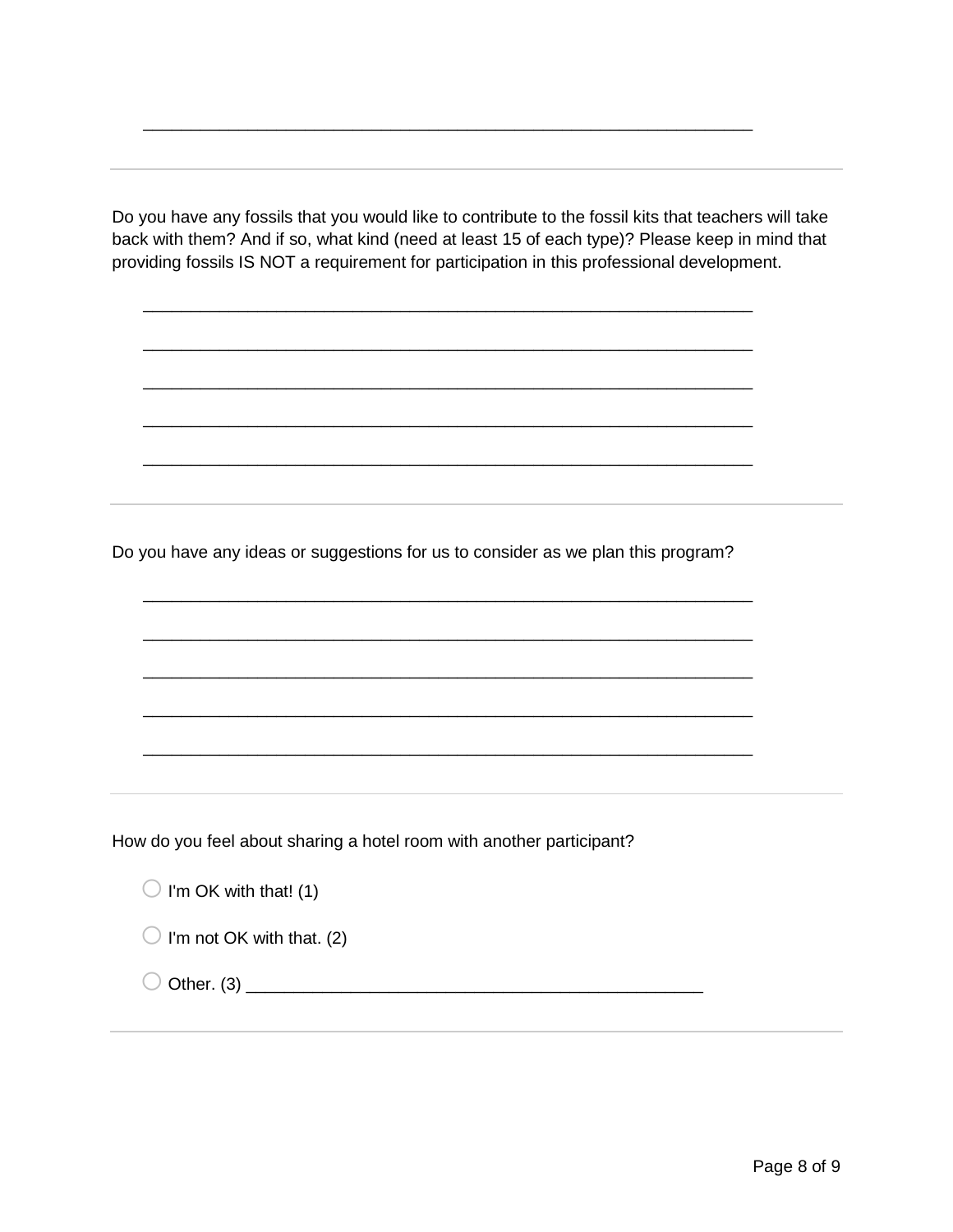Do you have any fossils that you would like to contribute to the fossil kits that teachers will take back with them? And if so, what kind (need at least 15 of each type)? Please keep in mind that providing fossils IS NOT a requirement for participation in this professional development.

\_\_\_\_\_\_\_\_\_\_\_\_\_\_\_\_\_\_\_\_\_\_\_\_\_\_\_\_\_\_\_\_\_\_\_\_\_\_\_\_\_\_\_\_\_\_\_\_\_\_\_\_\_\_\_\_\_\_\_\_\_\_\_\_

\_\_\_\_\_\_\_\_\_\_\_\_\_\_\_\_\_\_\_\_\_\_\_\_\_\_\_\_\_\_\_\_\_\_\_\_\_\_\_\_\_\_\_\_\_\_\_\_\_\_\_\_\_\_\_\_\_\_\_\_\_\_\_\_

\_\_\_\_\_\_\_\_\_\_\_\_\_\_\_\_\_\_\_\_\_\_\_\_\_\_\_\_\_\_\_\_\_\_\_\_\_\_\_\_\_\_\_\_\_\_\_\_\_\_\_\_\_\_\_\_\_\_\_\_\_\_\_\_

\_\_\_\_\_\_\_\_\_\_\_\_\_\_\_\_\_\_\_\_\_\_\_\_\_\_\_\_\_\_\_\_\_\_\_\_\_\_\_\_\_\_\_\_\_\_\_\_\_\_\_\_\_\_\_\_\_\_\_\_\_\_\_\_

\_\_\_\_\_\_\_\_\_\_\_\_\_\_\_\_\_\_\_\_\_\_\_\_\_\_\_\_\_\_\_\_\_\_\_\_\_\_\_\_\_\_\_\_\_\_\_\_\_\_\_\_\_\_\_\_\_\_\_\_\_\_\_\_

\_\_\_\_\_\_\_\_\_\_\_\_\_\_\_\_\_\_\_\_\_\_\_\_\_\_\_\_\_\_\_\_\_\_\_\_\_\_\_\_\_\_\_\_\_\_\_\_\_\_\_\_\_\_\_\_\_\_\_\_\_\_\_\_

\_\_\_\_\_\_\_\_\_\_\_\_\_\_\_\_\_\_\_\_\_\_\_\_\_\_\_\_\_\_\_\_\_\_\_\_\_\_\_\_\_\_\_\_\_\_\_\_\_\_\_\_\_\_\_\_\_\_\_\_\_\_\_\_

\_\_\_\_\_\_\_\_\_\_\_\_\_\_\_\_\_\_\_\_\_\_\_\_\_\_\_\_\_\_\_\_\_\_\_\_\_\_\_\_\_\_\_\_\_\_\_\_\_\_\_\_\_\_\_\_\_\_\_\_\_\_\_\_

\_\_\_\_\_\_\_\_\_\_\_\_\_\_\_\_\_\_\_\_\_\_\_\_\_\_\_\_\_\_\_\_\_\_\_\_\_\_\_\_\_\_\_\_\_\_\_\_\_\_\_\_\_\_\_\_\_\_\_\_\_\_\_\_

\_\_\_\_\_\_\_\_\_\_\_\_\_\_\_\_\_\_\_\_\_\_\_\_\_\_\_\_\_\_\_\_\_\_\_\_\_\_\_\_\_\_\_\_\_\_\_\_\_\_\_\_\_\_\_\_\_\_\_\_\_\_\_\_

\_\_\_\_\_\_\_\_\_\_\_\_\_\_\_\_\_\_\_\_\_\_\_\_\_\_\_\_\_\_\_\_\_\_\_\_\_\_\_\_\_\_\_\_\_\_\_\_\_\_\_\_\_\_\_\_\_\_\_\_\_\_\_\_

Do you have any ideas or suggestions for us to consider as we plan this program?

How do you feel about sharing a hotel room with another participant?

 $\bigcirc$  I'm OK with that! (1)

 $\bigcirc$  I'm not OK with that. (2)

 $\bigcirc$  Other. (3)